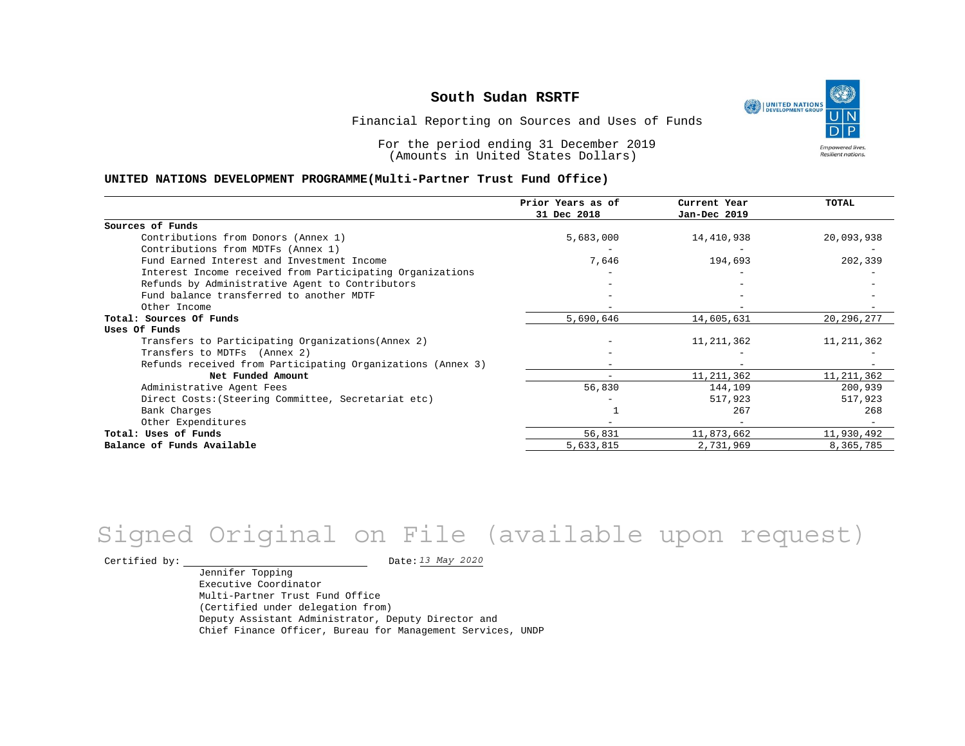UNITED NATIONS **Empowered lives** Resilient nations.

Financial Reporting on Sources and Uses of Funds

For the period ending 31 December 2019 (Amounts in United States Dollars)

#### **UNITED NATIONS DEVELOPMENT PROGRAMME(Multi-Partner Trust Fund Office)**

|                                                             | Prior Years as of<br>31 Dec 2018 | Current Year<br>Jan-Dec 2019 | TOTAL        |
|-------------------------------------------------------------|----------------------------------|------------------------------|--------------|
|                                                             |                                  |                              |              |
| Sources of Funds                                            |                                  |                              |              |
| Contributions from Donors (Annex 1)                         | 5,683,000                        | 14,410,938                   | 20,093,938   |
| Contributions from MDTFs (Annex 1)                          |                                  |                              |              |
| Fund Earned Interest and Investment Income                  | 7,646                            | 194,693                      | 202,339      |
| Interest Income received from Participating Organizations   |                                  |                              |              |
| Refunds by Administrative Agent to Contributors             |                                  |                              |              |
| Fund balance transferred to another MDTF                    |                                  |                              |              |
| Other Income                                                |                                  |                              |              |
| Total: Sources Of Funds                                     | 5,690,646                        | 14,605,631                   | 20, 296, 277 |
| Uses Of Funds                                               |                                  |                              |              |
| Transfers to Participating Organizations (Annex 2)          |                                  | 11, 211, 362                 | 11, 211, 362 |
| Transfers to MDTFs (Annex 2)                                |                                  |                              |              |
| Refunds received from Participating Organizations (Annex 3) |                                  | $\overline{\phantom{0}}$     |              |
| Net Funded Amount                                           |                                  | 11, 211, 362                 | 11, 211, 362 |
| Administrative Agent Fees                                   | 56,830                           | 144,109                      | 200,939      |
| Direct Costs: (Steering Committee, Secretariat etc)         |                                  | 517,923                      | 517,923      |
| Bank Charges                                                |                                  | 267                          | 268          |
| Other Expenditures                                          |                                  |                              |              |
| Total: Uses of Funds                                        | 56,831                           | 11,873,662                   | 11,930,492   |
| Balance of Funds Available                                  | 5,633,815                        | 2,731,969                    | 8,365,785    |

## *13 May 2020* Signed Original on File (available upon request)

Certified by:  $\frac{D \text{ at } 2020}{D \text{ at } 2020}$ 

Jennifer Topping Executive Coordinator Multi-Partner Trust Fund Office (Certified under delegation from) Deputy Assistant Administrator, Deputy Director and Chief Finance Officer, Bureau for Management Services, UNDP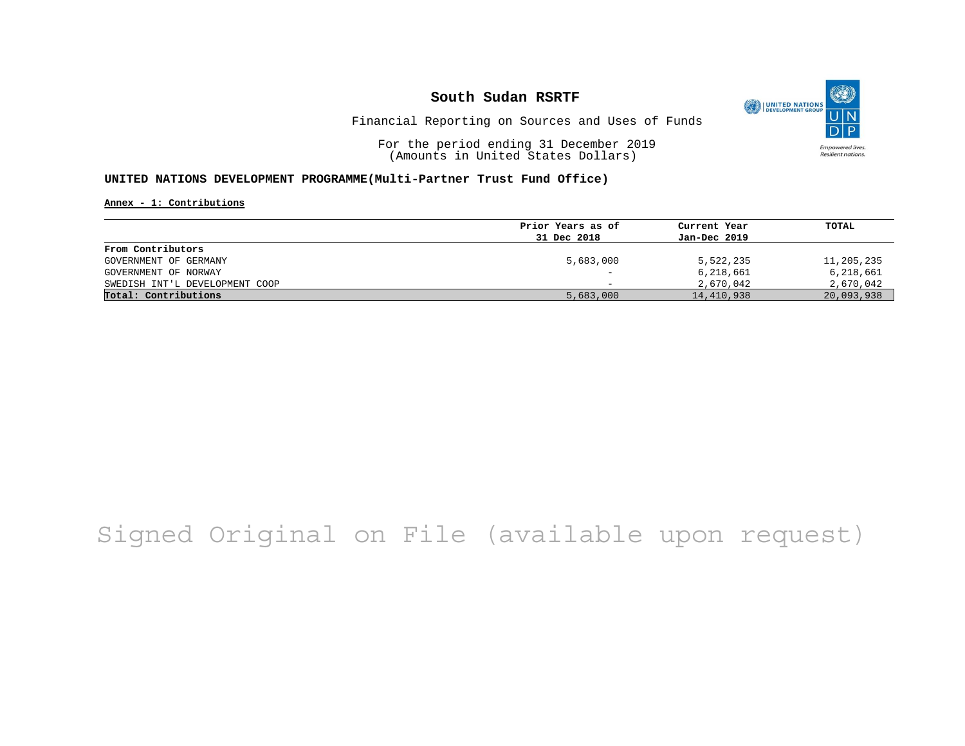

Financial Reporting on Sources and Uses of Funds

For the period ending 31 December 2019 (Amounts in United States Dollars)

#### **UNITED NATIONS DEVELOPMENT PROGRAMME(Multi-Partner Trust Fund Office)**

**Annex - 1: Contributions**

|                                | Prior Years as of | Current Year | TOTAL      |
|--------------------------------|-------------------|--------------|------------|
|                                | 31 Dec 2018       | Jan-Dec 2019 |            |
| From Contributors              |                   |              |            |
| GOVERNMENT OF GERMANY          | 5,683,000         | 5,522,235    | 11,205,235 |
| GOVERNMENT OF NORWAY           | -                 | 6,218,661    | 6,218,661  |
| SWEDISH INT'L DEVELOPMENT COOP | -                 | 2,670,042    | 2,670,042  |
| Total: Contributions           | 5,683,000         | 14,410,938   | 20,093,938 |
|                                |                   |              |            |

# Signed Original on File (available upon request)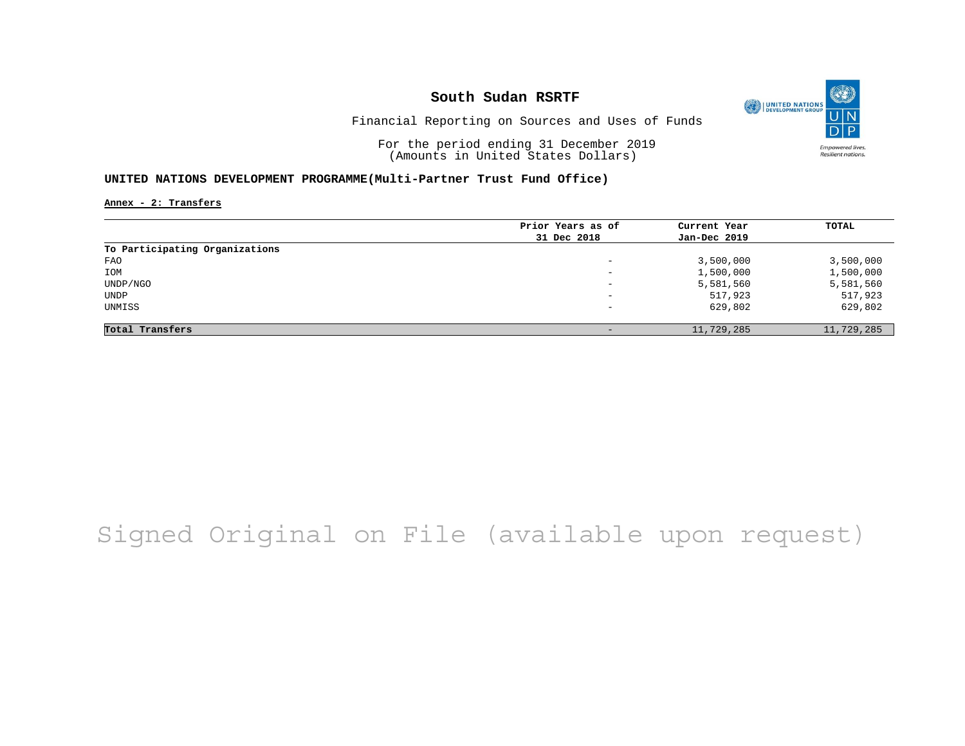

Financial Reporting on Sources and Uses of Funds

For the period ending 31 December 2019 (Amounts in United States Dollars)

#### **UNITED NATIONS DEVELOPMENT PROGRAMME(Multi-Partner Trust Fund Office)**

**Annex - 2: Transfers**

| Prior Years as of | Current Year | TOTAL      |
|-------------------|--------------|------------|
| 31 Dec 2018       | Jan-Dec 2019 |            |
|                   |              |            |
| -                 | 3,500,000    | 3,500,000  |
| -                 | 1,500,000    | 1,500,000  |
| -                 | 5,581,560    | 5,581,560  |
| -                 | 517,923      | 517,923    |
| -                 | 629,802      | 629,802    |
|                   |              |            |
|                   | 11,729,285   | 11,729,285 |
|                   |              |            |

# Signed Original on File (available upon request)